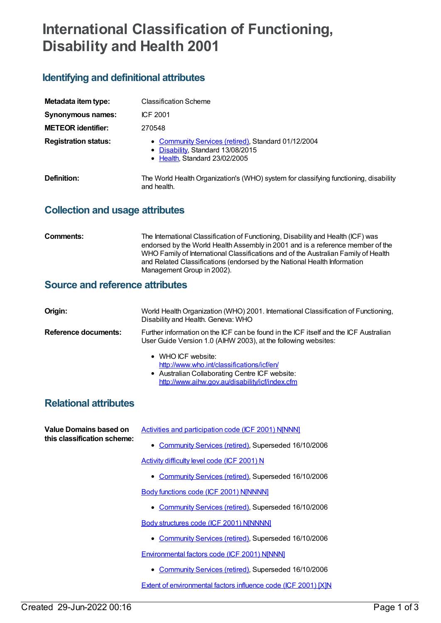# **International Classification of Functioning, Disability and Health 2001**

# **Identifying and definitional attributes**

| Metadata item type:         | <b>Classification Scheme</b>                                                                                              |
|-----------------------------|---------------------------------------------------------------------------------------------------------------------------|
| Synonymous names:           | ICF 2001                                                                                                                  |
| <b>METEOR identifier:</b>   | 270548                                                                                                                    |
| <b>Registration status:</b> | • Community Services (retired), Standard 01/12/2004<br>• Disability, Standard 13/08/2015<br>• Health, Standard 23/02/2005 |
| Definition:                 | The World Health Organization's (WHO) system for classifying functioning, disability<br>and health.                       |

# **Collection and usage attributes**

| Comments: | The International Classification of Functioning, Disability and Health (ICF) was<br>endorsed by the World Health Assembly in 2001 and is a reference member of the<br>WHO Family of International Classifications and of the Australian Family of Health<br>and Related Classifications (endorsed by the National Health Information |
|-----------|--------------------------------------------------------------------------------------------------------------------------------------------------------------------------------------------------------------------------------------------------------------------------------------------------------------------------------------|
|           | Management Group in 2002).                                                                                                                                                                                                                                                                                                           |

# **Source and reference attributes**

| Origin:              | World Health Organization (WHO) 2001. International Classification of Functioning,<br>Disability and Health. Geneva: WHO                                              |
|----------------------|-----------------------------------------------------------------------------------------------------------------------------------------------------------------------|
| Reference documents: | Further information on the ICF can be found in the ICF itself and the ICF Australian<br>User Guide Version 1.0 (AIHW 2003), at the following websites:                |
|                      | • WHO ICF website:<br>http://www.who.int/classifications/icf/en/<br>• Australian Collaborating Centre ICF website:<br>http://www.aihw.gov.au/disability/icf/index.cfm |

# **Relational attributes**

| Value Domains based on<br>this classification scheme: | Activities and participation code (ICF 2001) N[NNN]                   |
|-------------------------------------------------------|-----------------------------------------------------------------------|
|                                                       | • Community Services (retired), Superseded 16/10/2006                 |
|                                                       | Activity difficulty level code (ICF 2001) N                           |
|                                                       | • Community Services (retired), Superseded 16/10/2006                 |
|                                                       | Body functions code (ICF 2001) N[NNNN]                                |
|                                                       | • Community Services (retired), Superseded 16/10/2006                 |
|                                                       | Body structures code (ICF 2001) N[NNNN]                               |
|                                                       | • Community Services (retired), Superseded 16/10/2006                 |
|                                                       | <b>Environmental factors code (ICF 2001) N[NNN]</b>                   |
|                                                       | • Community Services (retired), Superseded 16/10/2006                 |
|                                                       | <b>Extent of environmental factors influence code (ICF 2001) [X]N</b> |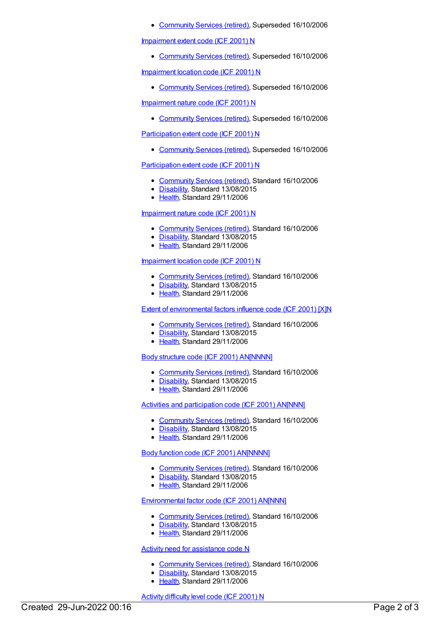[Community](https://meteor.aihw.gov.au/RegistrationAuthority/1) Services (retired), Superseded 16/10/2006

#### [Impairment](https://meteor.aihw.gov.au/content/288437) extent code (ICF 2001) N

[Community](https://meteor.aihw.gov.au/RegistrationAuthority/1) Services (retired), Superseded 16/10/2006

[Impairment](https://meteor.aihw.gov.au/content/288458) location code (ICF 2001) N

• [Community](https://meteor.aihw.gov.au/RegistrationAuthority/1) Services (retired), Superseded 16/10/2006

[Impairment](https://meteor.aihw.gov.au/content/288474) nature code (ICF 2001) N

• [Community](https://meteor.aihw.gov.au/RegistrationAuthority/1) Services (retired), Superseded 16/10/2006

[Participation](https://meteor.aihw.gov.au/content/288534) extent code (ICF 2001) N

[Community](https://meteor.aihw.gov.au/RegistrationAuthority/1) Services (retired), Superseded 16/10/2006

#### [Participation](https://meteor.aihw.gov.au/content/320555) extent code (ICF 2001) N

- [Community](https://meteor.aihw.gov.au/RegistrationAuthority/1) Services (retired), Standard 16/10/2006
- [Disability](https://meteor.aihw.gov.au/RegistrationAuthority/16), Standard 13/08/2015
- [Health](https://meteor.aihw.gov.au/RegistrationAuthority/12), Standard 29/11/2006

#### [Impairment](https://meteor.aihw.gov.au/content/320628) nature code (ICF 2001) N

- [Community](https://meteor.aihw.gov.au/RegistrationAuthority/1) Services (retired), Standard 16/10/2006
- [Disability](https://meteor.aihw.gov.au/RegistrationAuthority/16), Standard 13/08/2015
- [Health](https://meteor.aihw.gov.au/RegistrationAuthority/12), Standard 29/11/2006

#### [Impairment](https://meteor.aihw.gov.au/content/320636) location code (ICF 2001) N

- [Community](https://meteor.aihw.gov.au/RegistrationAuthority/1) Services (retired), Standard 16/10/2006
- [Disability](https://meteor.aihw.gov.au/RegistrationAuthority/16), Standard 13/08/2015
- [Health](https://meteor.aihw.gov.au/RegistrationAuthority/12), Standard 29/11/2006

#### Extent of [environmental](https://meteor.aihw.gov.au/content/320640) factors influence code (ICF 2001) [X]N

- [Community](https://meteor.aihw.gov.au/RegistrationAuthority/1) Services (retired), Standard 16/10/2006
- [Disability](https://meteor.aihw.gov.au/RegistrationAuthority/16), Standard 13/08/2015
- [Health](https://meteor.aihw.gov.au/RegistrationAuthority/12), Standard 29/11/2006

#### Body structure code (ICF 2001) [AN\[NNNN\]](https://meteor.aihw.gov.au/content/320644)

- [Community](https://meteor.aihw.gov.au/RegistrationAuthority/1) Services (retired), Standard 16/10/2006
- [Disability](https://meteor.aihw.gov.au/RegistrationAuthority/16), Standard 13/08/2015
- [Health](https://meteor.aihw.gov.au/RegistrationAuthority/12), Standard 29/11/2006

### Activities and [participation](https://meteor.aihw.gov.au/content/320669) code (ICF 2001) AN[NNN]

- [Community](https://meteor.aihw.gov.au/RegistrationAuthority/1) Services (retired), Standard 16/10/2006
- [Disability](https://meteor.aihw.gov.au/RegistrationAuthority/16), Standard 13/08/2015
- [Health](https://meteor.aihw.gov.au/RegistrationAuthority/12), Standard 29/11/2006

### Body function code (ICF 2001) [AN\[NNNN\]](https://meteor.aihw.gov.au/content/321690)

- [Community](https://meteor.aihw.gov.au/RegistrationAuthority/1) Services (retired), Standard 16/10/2006
- [Disability](https://meteor.aihw.gov.au/RegistrationAuthority/16), Standard 13/08/2015
- [Health](https://meteor.aihw.gov.au/RegistrationAuthority/12), Standard 29/11/2006

## [Environmental](https://meteor.aihw.gov.au/content/321693) factor code (ICF 2001) AN[NNN]

- [Community](https://meteor.aihw.gov.au/RegistrationAuthority/1) Services (retired), Standard 16/10/2006
- [Disability](https://meteor.aihw.gov.au/RegistrationAuthority/16), Standard 13/08/2015
- [Health](https://meteor.aihw.gov.au/RegistrationAuthority/12), Standard 29/11/2006

### Activity need for [assistance](https://meteor.aihw.gov.au/content/324481) code N

- [Community](https://meteor.aihw.gov.au/RegistrationAuthority/1) Services (retired), Standard 16/10/2006
- [Disability](https://meteor.aihw.gov.au/RegistrationAuthority/16), Standard 13/08/2015
- [Health](https://meteor.aihw.gov.au/RegistrationAuthority/12), Standard 29/11/2006